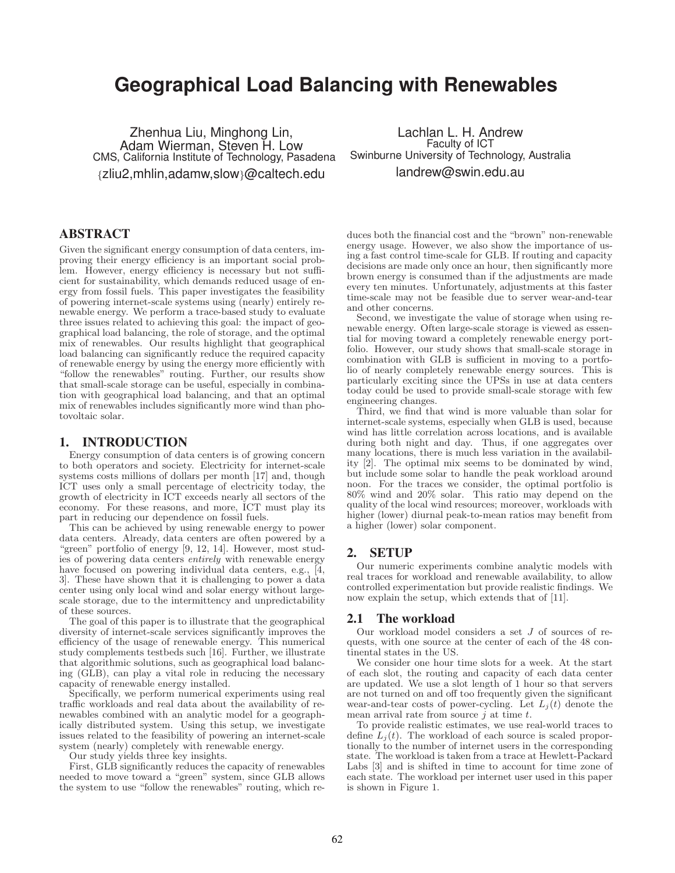# **Geographical Load Balancing with Renewables**

Zhenhua Liu, Minghong Lin, Adam Wierman, Steven H. Low CMS, California Institute of Technology, Pasadena {zliu2,mhlin,adamw,slow}@caltech.edu

Lachlan L. H. Andrew Faculty of ICT Swinburne University of Technology, Australia landrew@swin.edu.au

# ABSTRACT

Given the significant energy consumption of data centers, improving their energy efficiency is an important social problem. However, energy efficiency is necessary but not sufficient for sustainability, which demands reduced usage of energy from fossil fuels. This paper investigates the feasibility of powering internet-scale systems using (nearly) entirely renewable energy. We perform a trace-based study to evaluate three issues related to achieving this goal: the impact of geographical load balancing, the role of storage, and the optimal mix of renewables. Our results highlight that geographical load balancing can significantly reduce the required capacity of renewable energy by using the energy more efficiently with "follow the renewables" routing. Further, our results show that small-scale storage can be useful, especially in combination with geographical load balancing, and that an optimal mix of renewables includes significantly more wind than photovoltaic solar.

## 1. INTRODUCTION

Energy consumption of data centers is of growing concern to both operators and society. Electricity for internet-scale systems costs millions of dollars per month [17] and, though ICT uses only a small percentage of electricity today, the growth of electricity in ICT exceeds nearly all sectors of the economy. For these reasons, and more, ICT must play its part in reducing our dependence on fossil fuels.

This can be achieved by using renewable energy to power data centers. Already, data centers are often powered by a "green" portfolio of energy [9, 12, 14]. However, most studies of powering data centers entirely with renewable energy have focused on powering individual data centers, e.g., [4, 3]. These have shown that it is challenging to power a data center using only local wind and solar energy without largescale storage, due to the intermittency and unpredictability of these sources.

The goal of this paper is to illustrate that the geographical diversity of internet-scale services significantly improves the efficiency of the usage of renewable energy. This numerical study complements testbeds such [16]. Further, we illustrate that algorithmic solutions, such as geographical load balancing (GLB), can play a vital role in reducing the necessary capacity of renewable energy installed.

Specifically, we perform numerical experiments using real traffic workloads and real data about the availability of renewables combined with an analytic model for a geographically distributed system. Using this setup, we investigate issues related to the feasibility of powering an internet-scale system (nearly) completely with renewable energy.

Our study yields three key insights.

First, GLB significantly reduces the capacity of renewables needed to move toward a "green" system, since GLB allows the system to use "follow the renewables" routing, which reduces both the financial cost and the "brown" non-renewable energy usage. However, we also show the importance of using a fast control time-scale for GLB. If routing and capacity decisions are made only once an hour, then significantly more brown energy is consumed than if the adjustments are made every ten minutes. Unfortunately, adjustments at this faster time-scale may not be feasible due to server wear-and-tear and other concerns.

Second, we investigate the value of storage when using renewable energy. Often large-scale storage is viewed as essential for moving toward a completely renewable energy portfolio. However, our study shows that small-scale storage in combination with GLB is sufficient in moving to a portfolio of nearly completely renewable energy sources. This is particularly exciting since the UPSs in use at data centers today could be used to provide small-scale storage with few engineering changes.

Third, we find that wind is more valuable than solar for internet-scale systems, especially when GLB is used, because wind has little correlation across locations, and is available during both night and day. Thus, if one aggregates over many locations, there is much less variation in the availability [2]. The optimal mix seems to be dominated by wind, but include some solar to handle the peak workload around noon. For the traces we consider, the optimal portfolio is 80% wind and 20% solar. This ratio may depend on the quality of the local wind resources; moreover, workloads with higher (lower) diurnal peak-to-mean ratios may benefit from a higher (lower) solar component.

# 2. SETUP

Our numeric experiments combine analytic models with real traces for workload and renewable availability, to allow controlled experimentation but provide realistic findings. We now explain the setup, which extends that of [11].

#### 2.1 The workload

Our workload model considers a set J of sources of requests, with one source at the center of each of the 48 continental states in the US.

We consider one hour time slots for a week. At the start of each slot, the routing and capacity of each data center are updated. We use a slot length of 1 hour so that servers are not turned on and off too frequently given the significant wear-and-tear costs of power-cycling. Let  $L_i(t)$  denote the mean arrival rate from source  $j$  at time  $t$ .

To provide realistic estimates, we use real-world traces to define  $L_i(t)$ . The workload of each source is scaled proportionally to the number of internet users in the corresponding state. The workload is taken from a trace at Hewlett-Packard Labs [3] and is shifted in time to account for time zone of each state. The workload per internet user used in this paper is shown in Figure 1.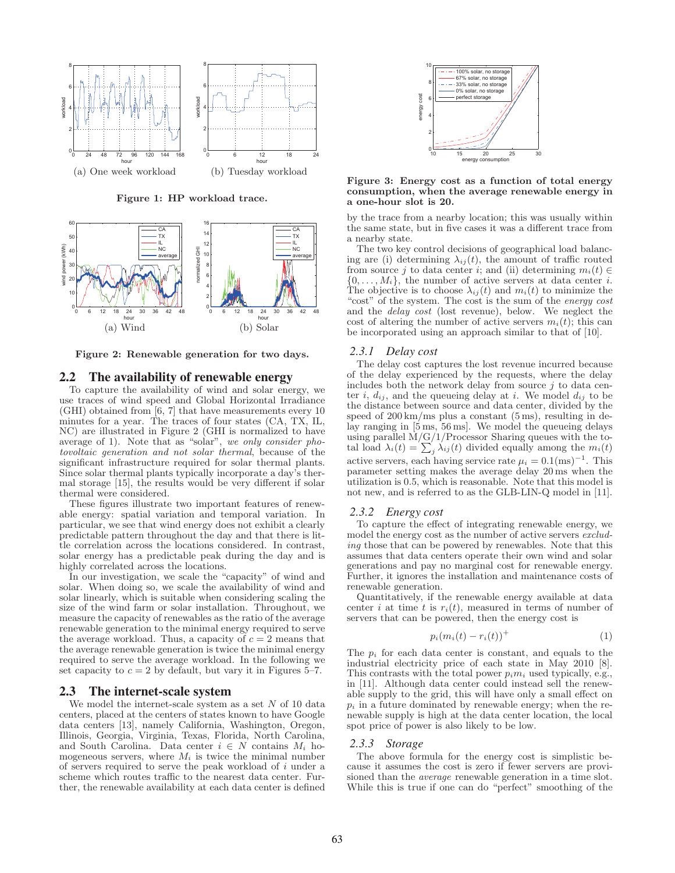

**Figure 1: HP workload trace.**



**Figure 2: Renewable generation for two days.**

#### 2.2 The availability of renewable energy

To capture the availability of wind and solar energy, we use traces of wind speed and Global Horizontal Irradiance (GHI) obtained from [6, 7] that have measurements every 10 minutes for a year. The traces of four states (CA, TX, IL, NC) are illustrated in Figure 2 (GHI is normalized to have average of 1). Note that as "solar", we only consider photovoltaic generation and not solar thermal, because of the significant infrastructure required for solar thermal plants. Since solar thermal plants typically incorporate a day's thermal storage [15], the results would be very different if solar thermal were considered.

These figures illustrate two important features of renewable energy: spatial variation and temporal variation. In particular, we see that wind energy does not exhibit a clearly predictable pattern throughout the day and that there is little correlation across the locations considered. In contrast, solar energy has a predictable peak during the day and is highly correlated across the locations.

In our investigation, we scale the "capacity" of wind and solar. When doing so, we scale the availability of wind and solar linearly, which is suitable when considering scaling the size of the wind farm or solar installation. Throughout, we measure the capacity of renewables as the ratio of the average renewable generation to the minimal energy required to serve the average workload. Thus, a capacity of  $c = 2$  means that the average renewable generation is twice the minimal energy required to serve the average workload. In the following we set capacity to  $c = 2$  by default, but vary it in Figures 5–7.

#### 2.3 The internet-scale system

We model the internet-scale system as a set  $N$  of 10 data centers, placed at the centers of states known to have Google data centers [13], namely California, Washington, Oregon, Illinois, Georgia, Virginia, Texas, Florida, North Carolina, and South Carolina. Data center  $i \in N$  contains  $M_i$  homogeneous servers, where  $M_i$  is twice the minimal number of servers required to serve the peak workload of i under a scheme which routes traffic to the nearest data center. Further, the renewable availability at each data center is defined



**Figure 3: Energy cost as a function of total energy consumption, when the average renewable energy in a one-hour slot is 20.**

by the trace from a nearby location; this was usually within the same state, but in five cases it was a different trace from a nearby state.

The two key control decisions of geographical load balancing are (i) determining  $\lambda_{ij}(t)$ , the amount of traffic routed from source j to data center i; and (ii) determining  $m_i(t) \in$  $\{0,\ldots,M_i\}$ , the number of active servers at data center *i*. The objective is to choose  $\lambda_{ij}(t)$  and  $m_i(t)$  to minimize the "cost" of the system. The cost is the sum of the energy cost and the delay cost (lost revenue), below. We neglect the cost of altering the number of active servers  $m_i(t)$ ; this can be incorporated using an approach similar to that of [10].

#### *2.3.1 Delay cost*

The delay cost captures the lost revenue incurred because of the delay experienced by the requests, where the delay includes both the network delay from source  $j$  to data center i,  $d_{ij}$ , and the queueing delay at i. We model  $d_{ij}$  to be the distance between source and data center, divided by the speed of  $200 \text{ km/ms}$  plus a constant  $(5 \text{ ms})$ , resulting in delay ranging in [5 ms, 56 ms]. We model the queueing delays using parallel  $\dot{M}/G/1/P$ rocessor Sharing queues with the to-<br>tal load  $\lambda_i(t) = \sum_j \lambda_{ij}(t)$  divided equally among the  $m_i(t)$ active servers, each having service rate  $\mu_i = 0.1 \text{(ms)}^{-1}$ . This parameter setting makes the average delay 20 ms when the utilization is 0.5, which is reasonable. Note that this model is not new, and is referred to as the GLB-LIN-Q model in [11].

## *2.3.2 Energy cost*

To capture the effect of integrating renewable energy, we model the energy cost as the number of active servers excluding those that can be powered by renewables. Note that this assumes that data centers operate their own wind and solar generations and pay no marginal cost for renewable energy. Further, it ignores the installation and maintenance costs of renewable generation.

Quantitatively, if the renewable energy available at data center i at time t is  $r_i(t)$ , measured in terms of number of servers that can be powered, then the energy cost is

$$
p_i(m_i(t) - r_i(t))^+ \tag{1}
$$

The  $p_i$  for each data center is constant, and equals to the industrial electricity price of each state in May 2010 [8]. This contrasts with the total power  $p_i m_i$  used typically, e.g., in [11]. Although data center could instead sell the renewable supply to the grid, this will have only a small effect on  $p_i$  in a future dominated by renewable energy; when the renewable supply is high at the data center location, the local spot price of power is also likely to be low.

#### *2.3.3 Storage*

The above formula for the energy cost is simplistic because it assumes the cost is zero if fewer servers are provisioned than the average renewable generation in a time slot. While this is true if one can do "perfect" smoothing of the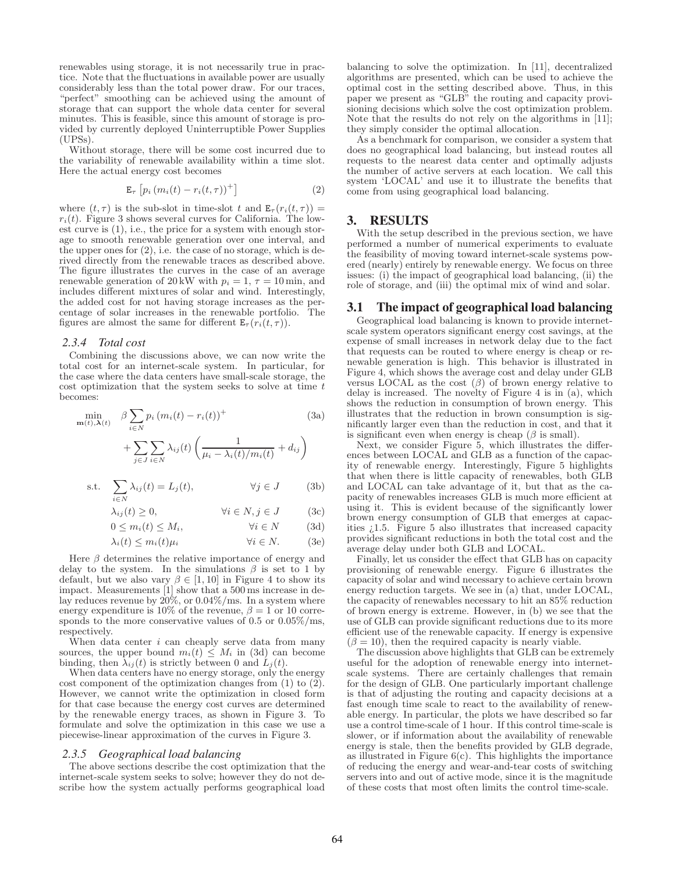renewables using storage, it is not necessarily true in practice. Note that the fluctuations in available power are usually considerably less than the total power draw. For our traces, "perfect" smoothing can be achieved using the amount of storage that can support the whole data center for several minutes. This is feasible, since this amount of storage is provided by currently deployed Uninterruptible Power Supplies (UPSs).

Without storage, there will be some cost incurred due to the variability of renewable availability within a time slot. Here the actual energy cost becomes

$$
\mathbf{E}_{\tau}\left[p_i\left(m_i(t) - r_i(t,\tau)\right)^+\right] \tag{2}
$$

where  $(t, \tau)$  is the sub-slot in time-slot t and  $E_{\tau}(r_i(t, \tau)) =$  $r_i(t)$ . Figure 3 shows several curves for California. The lowest curve is (1), i.e., the price for a system with enough storage to smooth renewable generation over one interval, and the upper ones for  $(2)$ , i.e. the case of no storage, which is derived directly from the renewable traces as described above. The figure illustrates the curves in the case of an average renewable generation of 20 kW with  $p_i = 1$ ,  $\tau = 10$  min, and includes different mixtures of solar and wind. Interestingly, the added cost for not having storage increases as the percentage of solar increases in the renewable portfolio. The figures are almost the same for different  $\mathbf{E}_{\tau}(r_i(t,\tau)).$ 

## *2.3.4 Total cost*

Combining the discussions above, we can now write the total cost for an internet-scale system. In particular, for the case where the data centers have small-scale storage, the cost optimization that the system seeks to solve at time  $t$ becomes:

$$
\min_{\mathbf{m}(t),\lambda(t)} \beta \sum_{i \in N} p_i (m_i(t) - r_i(t))^+
$$
\n
$$
+ \sum_{j \in J} \sum_{i \in N} \lambda_{ij}(t) \left( \frac{1}{\mu_i - \lambda_i(t)/m_i(t)} + d_{ij} \right)
$$
\n(3a)

s.t. 
$$
\sum_{i \in N} \lambda_{ij}(t) = L_j(t), \qquad \forall j \in J \qquad (3b)
$$

 $\lambda_{ij}(t) \geq 0, \qquad \forall i \in N, j \in J \qquad (3c)$ 

$$
0 \le m_i(t) \le M_i, \qquad \forall i \in N \qquad (3d)
$$

$$
\lambda_i(t) \le m_i(t)\mu_i \qquad \qquad \forall i \in N. \tag{3e}
$$

Here  $\beta$  determines the relative importance of energy and delay to the system. In the simulations  $\beta$  is set to 1 by default, but we also vary  $\beta \in [1, 10]$  in Figure 4 to show its impact. Measurements [1] show that a 500 ms increase in delay reduces revenue by  $20\%,$  or  $0.04\%$ /ms. In a system where energy expenditure is 10% of the revenue,  $\beta = 1$  or 10 corresponds to the more conservative values of 0.5 or  $0.05\%$ /ms, respectively.

When data center  $i$  can cheaply serve data from many sources, the upper bound  $m_i(t) \leq M_i$  in (3d) can become binding, then  $\lambda_{ij}(t)$  is strictly between 0 and  $L_i(t)$ .

When data centers have no energy storage, only the energy cost component of the optimization changes from  $(1)$  to  $(2)$ . However, we cannot write the optimization in closed form for that case because the energy cost curves are determined by the renewable energy traces, as shown in Figure 3. To formulate and solve the optimization in this case we use a piecewise-linear approximation of the curves in Figure 3.

#### *2.3.5 Geographical load balancing*

The above sections describe the cost optimization that the internet-scale system seeks to solve; however they do not describe how the system actually performs geographical load

balancing to solve the optimization. In [11], decentralized algorithms are presented, which can be used to achieve the optimal cost in the setting described above. Thus, in this paper we present as "GLB" the routing and capacity provisioning decisions which solve the cost optimization problem. Note that the results do not rely on the algorithms in [11]; they simply consider the optimal allocation.

As a benchmark for comparison, we consider a system that does no geographical load balancing, but instead routes all requests to the nearest data center and optimally adjusts the number of active servers at each location. We call this system 'LOCAL' and use it to illustrate the benefits that come from using geographical load balancing.

# 3. RESULTS

With the setup described in the previous section, we have performed a number of numerical experiments to evaluate the feasibility of moving toward internet-scale systems powered (nearly) entirely by renewable energy. We focus on three issues: (i) the impact of geographical load balancing, (ii) the role of storage, and (iii) the optimal mix of wind and solar.

#### 3.1 The impact of geographical load balancing

Geographical load balancing is known to provide internetscale system operators significant energy cost savings, at the expense of small increases in network delay due to the fact that requests can be routed to where energy is cheap or renewable generation is high. This behavior is illustrated in Figure 4, which shows the average cost and delay under GLB versus LOCAL as the cost  $(\beta)$  of brown energy relative to delay is increased. The novelty of Figure 4 is in (a), which shows the reduction in consumption of brown energy. This illustrates that the reduction in brown consumption is significantly larger even than the reduction in cost, and that it is significant even when energy is cheap  $(\beta$  is small).

Next, we consider Figure 5, which illustrates the differences between LOCAL and GLB as a function of the capacity of renewable energy. Interestingly, Figure 5 highlights that when there is little capacity of renewables, both GLB and LOCAL can take advantage of it, but that as the capacity of renewables increases GLB is much more efficient at using it. This is evident because of the significantly lower brown energy consumption of GLB that emerges at capacities  $\zeta$ 1.5. Figure 5 also illustrates that increased capacity provides significant reductions in both the total cost and the average delay under both GLB and LOCAL.

Finally, let us consider the effect that GLB has on capacity provisioning of renewable energy. Figure 6 illustrates the capacity of solar and wind necessary to achieve certain brown energy reduction targets. We see in (a) that, under LOCAL, the capacity of renewables necessary to hit an 85% reduction of brown energy is extreme. However, in (b) we see that the use of GLB can provide significant reductions due to its more efficient use of the renewable capacity. If energy is expensive  $(\beta = 10)$ , then the required capacity is nearly viable.

The discussion above highlights that GLB can be extremely useful for the adoption of renewable energy into internetscale systems. There are certainly challenges that remain for the design of GLB. One particularly important challenge is that of adjusting the routing and capacity decisions at a fast enough time scale to react to the availability of renewable energy. In particular, the plots we have described so far use a control time-scale of 1 hour. If this control time-scale is slower, or if information about the availability of renewable energy is stale, then the benefits provided by GLB degrade, as illustrated in Figure  $6(c)$ . This highlights the importance of reducing the energy and wear-and-tear costs of switching servers into and out of active mode, since it is the magnitude of these costs that most often limits the control time-scale.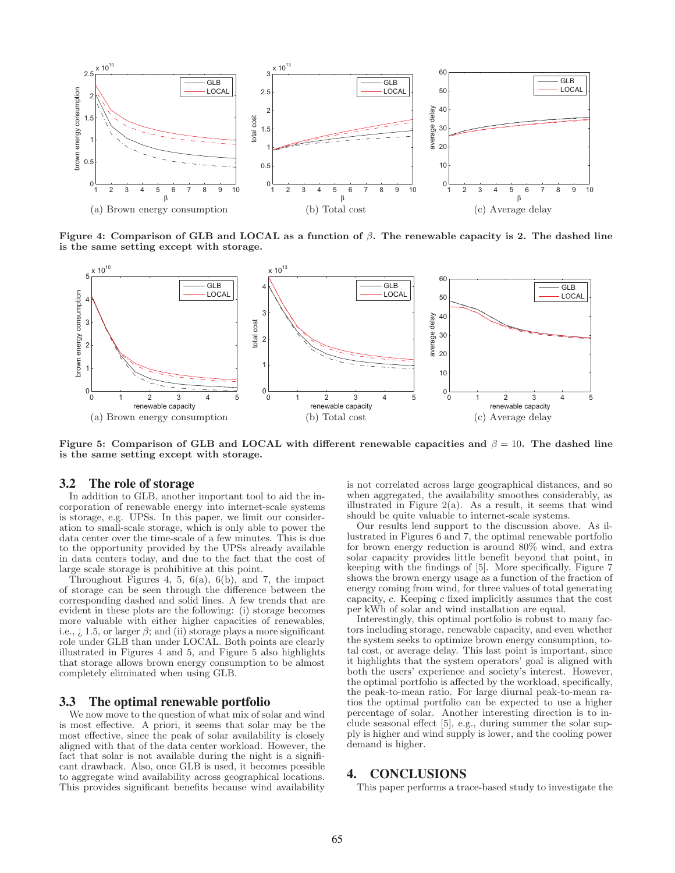

**Figure 4: Comparison of GLB and LOCAL as a function of** β**. The renewable capacity is 2. The dashed line is the same setting except with storage.**



**Figure 5: Comparison of GLB and LOCAL with different renewable capacities and** β = 10**. The dashed line is the same setting except with storage.**

# 3.2 The role of storage

In addition to GLB, another important tool to aid the incorporation of renewable energy into internet-scale systems is storage, e.g. UPSs. In this paper, we limit our consideration to small-scale storage, which is only able to power the data center over the time-scale of a few minutes. This is due to the opportunity provided by the UPSs already available in data centers today, and due to the fact that the cost of large scale storage is prohibitive at this point.

Throughout Figures 4, 5,  $6(a)$ ,  $6(b)$ , and 7, the impact of storage can be seen through the difference between the corresponding dashed and solid lines. A few trends that are evident in these plots are the following: (i) storage becomes more valuable with either higher capacities of renewables, i.e.,  $\lambda$ , 1.5, or larger  $\beta$ ; and (ii) storage plays a more significant role under GLB than under LOCAL. Both points are clearly illustrated in Figures 4 and 5, and Figure 5 also highlights that storage allows brown energy consumption to be almost completely eliminated when using GLB.

# 3.3 The optimal renewable portfolio

We now move to the question of what mix of solar and wind is most effective. A priori, it seems that solar may be the most effective, since the peak of solar availability is closely aligned with that of the data center workload. However, the fact that solar is not available during the night is a significant drawback. Also, once GLB is used, it becomes possible to aggregate wind availability across geographical locations. This provides significant benefits because wind availability

is not correlated across large geographical distances, and so when aggregated, the availability smoothes considerably, as illustrated in Figure 2(a). As a result, it seems that wind should be quite valuable to internet-scale systems.

Our results lend support to the discussion above. As illustrated in Figures 6 and 7, the optimal renewable portfolio for brown energy reduction is around 80% wind, and extra solar capacity provides little benefit beyond that point, in keeping with the findings of [5]. More specifically, Figure 7 shows the brown energy usage as a function of the fraction of energy coming from wind, for three values of total generating capacity, c. Keeping c fixed implicitly assumes that the cost per kWh of solar and wind installation are equal.

Interestingly, this optimal portfolio is robust to many factors including storage, renewable capacity, and even whether the system seeks to optimize brown energy consumption, total cost, or average delay. This last point is important, since it highlights that the system operators' goal is aligned with both the users' experience and society's interest. However, the optimal portfolio is affected by the workload, specifically, the peak-to-mean ratio. For large diurnal peak-to-mean ratios the optimal portfolio can be expected to use a higher percentage of solar. Another interesting direction is to include seasonal effect [5], e.g., during summer the solar supply is higher and wind supply is lower, and the cooling power demand is higher.

# 4. CONCLUSIONS

This paper performs a trace-based study to investigate the